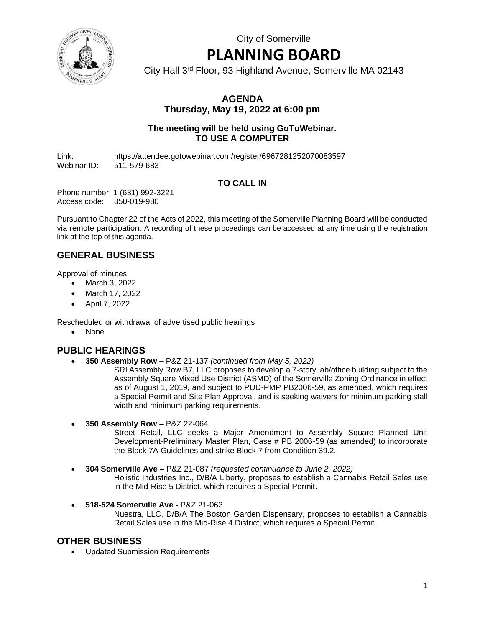City of Somerville

# **PLANNING BOARD**

City Hall 3rd Floor, 93 Highland Avenue, Somerville MA 02143

## **AGENDA Thursday, May 19, 2022 at 6:00 pm**

#### **The meeting will be held using GoToWebinar. TO USE A COMPUTER**

Link: https://attendee.gotowebinar.com/register/6967281252070083597 Webinar ID: 511-579-683

# **TO CALL IN**

Phone number: 1 (631) 992-3221 Access code: 350-019-980

Pursuant to Chapter 22 of the Acts of 2022, this meeting of the Somerville Planning Board will be conducted via remote participation. A recording of these proceedings can be accessed at any time using the registration link at the top of this agenda.

# **GENERAL BUSINESS**

Approval of minutes

- March 3, 2022
- March 17, 2022
- April 7, 2022

Rescheduled or withdrawal of advertised public hearings

• None

## **PUBLIC HEARINGS**

• **350 Assembly Row –** P&Z 21-137 *(continued from May 5, 2022)*

SRI Assembly Row B7, LLC proposes to develop a 7-story lab/office building subject to the Assembly Square Mixed Use District (ASMD) of the Somerville Zoning Ordinance in effect as of August 1, 2019, and subject to PUD-PMP PB2006-59, as amended, which requires a Special Permit and Site Plan Approval, and is seeking waivers for minimum parking stall width and minimum parking requirements.

• **350 Assembly Row –** P&Z 22-064

Street Retail, LLC seeks a Major Amendment to Assembly Square Planned Unit Development-Preliminary Master Plan, Case # PB 2006-59 (as amended) to incorporate the Block 7A Guidelines and strike Block 7 from Condition 39.2.

- **304 Somerville Ave –** P&Z 21-087 *(requested continuance to June 2, 2022)* Holistic Industries Inc., D/B/A Liberty, proposes to establish a Cannabis Retail Sales use in the Mid-Rise 5 District, which requires a Special Permit.
- **518-524 Somerville Ave -** P&Z 21-063 Nuestra, LLC, D/B/A The Boston Garden Dispensary, proposes to establish a Cannabis Retail Sales use in the Mid-Rise 4 District, which requires a Special Permit.

## **OTHER BUSINESS**

• Updated Submission Requirements